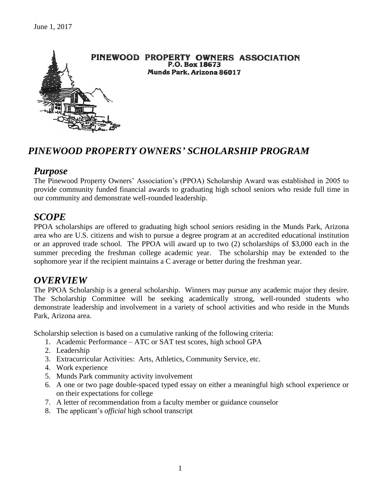

# *PINEWOOD PROPERTY OWNERS' SCHOLARSHIP PROGRAM*

### *Purpose*

The Pinewood Property Owners' Association's (PPOA) Scholarship Award was established in 2005 to provide community funded financial awards to graduating high school seniors who reside full time in our community and demonstrate well-rounded leadership.

### *SCOPE*

PPOA scholarships are offered to graduating high school seniors residing in the Munds Park, Arizona area who are U.S. citizens and wish to pursue a degree program at an accredited educational institution or an approved trade school. The PPOA will award up to two (2) scholarships of \$3,000 each in the summer preceding the freshman college academic year. The scholarship may be extended to the sophomore year if the recipient maintains a C average or better during the freshman year.

### *OVERVIEW*

The PPOA Scholarship is a general scholarship. Winners may pursue any academic major they desire. The Scholarship Committee will be seeking academically strong, well-rounded students who demonstrate leadership and involvement in a variety of school activities and who reside in the Munds Park, Arizona area.

Scholarship selection is based on a cumulative ranking of the following criteria:

- 1. Academic Performance ATC or SAT test scores, high school GPA
- 2. Leadership
- 3. Extracurricular Activities: Arts, Athletics, Community Service, etc.
- 4. Work experience
- 5. Munds Park community activity involvement
- 6. A one or two page double-spaced typed essay on either a meaningful high school experience or on their expectations for college
- 7. A letter of recommendation from a faculty member or guidance counselor
- 8. The applicant's *official* high school transcript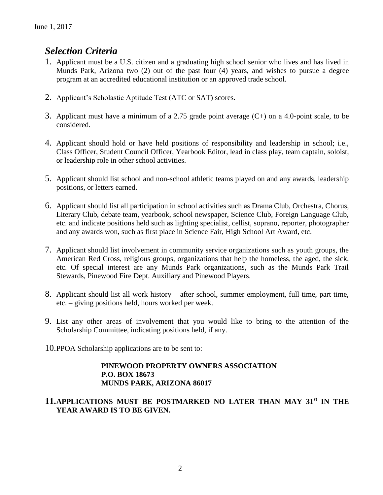# *Selection Criteria*

- 1. Applicant must be a U.S. citizen and a graduating high school senior who lives and has lived in Munds Park, Arizona two (2) out of the past four (4) years, and wishes to pursue a degree program at an accredited educational institution or an approved trade school.
- 2. Applicant's Scholastic Aptitude Test (ATC or SAT) scores.
- 3. Applicant must have a minimum of a 2.75 grade point average (C+) on a 4.0-point scale, to be considered.
- 4. Applicant should hold or have held positions of responsibility and leadership in school; i.e., Class Officer, Student Council Officer, Yearbook Editor, lead in class play, team captain, soloist, or leadership role in other school activities.
- 5. Applicant should list school and non-school athletic teams played on and any awards, leadership positions, or letters earned.
- 6. Applicant should list all participation in school activities such as Drama Club, Orchestra, Chorus, Literary Club, debate team, yearbook, school newspaper, Science Club, Foreign Language Club, etc. and indicate positions held such as lighting specialist, cellist, soprano, reporter, photographer and any awards won, such as first place in Science Fair, High School Art Award, etc.
- 7. Applicant should list involvement in community service organizations such as youth groups, the American Red Cross, religious groups, organizations that help the homeless, the aged, the sick, etc. Of special interest are any Munds Park organizations, such as the Munds Park Trail Stewards, Pinewood Fire Dept. Auxiliary and Pinewood Players.
- 8. Applicant should list all work history after school, summer employment, full time, part time, etc. – giving positions held, hours worked per week.
- 9. List any other areas of involvement that you would like to bring to the attention of the Scholarship Committee, indicating positions held, if any.
- 10.PPOA Scholarship applications are to be sent to:

#### **PINEWOOD PROPERTY OWNERS ASSOCIATION P.O. BOX 18673 MUNDS PARK, ARIZONA 86017**

#### **11.APPLICATIONS MUST BE POSTMARKED NO LATER THAN MAY 31 st IN THE YEAR AWARD IS TO BE GIVEN.**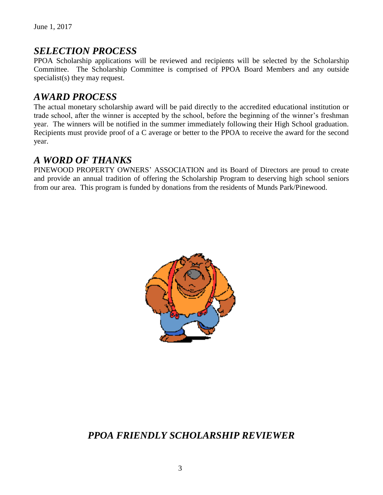### *SELECTION PROCESS*

PPOA Scholarship applications will be reviewed and recipients will be selected by the Scholarship Committee. The Scholarship Committee is comprised of PPOA Board Members and any outside specialist(s) they may request.

### *AWARD PROCESS*

The actual monetary scholarship award will be paid directly to the accredited educational institution or trade school, after the winner is accepted by the school, before the beginning of the winner's freshman year. The winners will be notified in the summer immediately following their High School graduation. Recipients must provide proof of a C average or better to the PPOA to receive the award for the second year.

### *A WORD OF THANKS*

PINEWOOD PROPERTY OWNERS' ASSOCIATION and its Board of Directors are proud to create and provide an annual tradition of offering the Scholarship Program to deserving high school seniors from our area. This program is funded by donations from the residents of Munds Park/Pinewood.



# *PPOA FRIENDLY SCHOLARSHIP REVIEWER*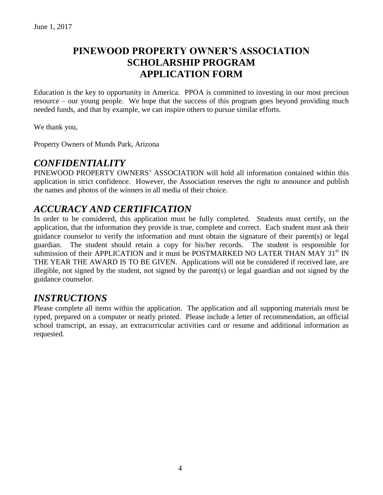# **PINEWOOD PROPERTY OWNER'S ASSOCIATION SCHOLARSHIP PROGRAM APPLICATION FORM**

Education is the key to opportunity in America. PPOA is committed to investing in our most precious resource – our young people. We hope that the success of this program goes beyond providing much needed funds, and that by example, we can inspire others to pursue similar efforts.

We thank you,

Property Owners of Munds Park, Arizona

### *CONFIDENTIALITY*

PINEWOOD PROPERTY OWNERS' ASSOCIATION will hold all information contained within this application in strict confidence. However, the Association reserves the right to announce and publish the names and photos of the winners in all media of their choice.

# *ACCURACY AND CERTIFICATION*

In order to be considered, this application must be fully completed. Students must certify, on the application, that the information they provide is true, complete and correct. Each student must ask their guidance counselor to verify the information and must obtain the signature of their parent(s) or legal guardian. The student should retain a copy for his/her records. The student is responsible for submission of their APPLICATION and it must be POSTMARKED NO LATER THAN MAY 31 $^{\text{st}}$  IN THE YEAR THE AWARD IS TO BE GIVEN. Applications will not be considered if received late, are illegible, not signed by the student, not signed by the parent(s) or legal guardian and not signed by the guidance counselor.

# *INSTRUCTIONS*

Please complete all items within the application. The application and all supporting materials must be typed, prepared on a computer or neatly printed. Please include a letter of recommendation, an official school transcript, an essay, an extracurricular activities card or resume and additional information as requested.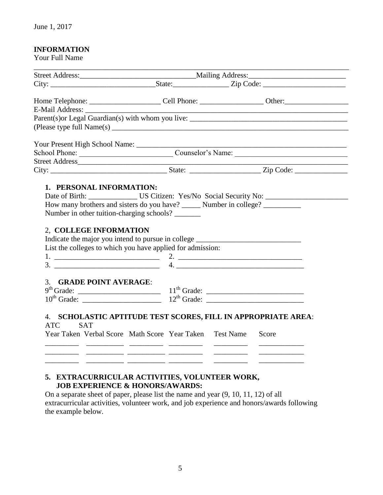#### **INFORMATION**

Your Full Name

|                                                                                                                                                          |                                                                                                                  | <u> 1989 - Johann Stoff, deutscher Stoff, der Stoff, der Stoff, der Stoff, der Stoff, der Stoff, der Stoff, der S</u> |
|----------------------------------------------------------------------------------------------------------------------------------------------------------|------------------------------------------------------------------------------------------------------------------|-----------------------------------------------------------------------------------------------------------------------|
|                                                                                                                                                          |                                                                                                                  |                                                                                                                       |
|                                                                                                                                                          |                                                                                                                  |                                                                                                                       |
|                                                                                                                                                          |                                                                                                                  |                                                                                                                       |
|                                                                                                                                                          | School Phone: Counselor's Name:                                                                                  |                                                                                                                       |
|                                                                                                                                                          |                                                                                                                  |                                                                                                                       |
|                                                                                                                                                          |                                                                                                                  |                                                                                                                       |
| How many brothers and sisters do you have? ________ Number in college? __________<br>Number in other tuition-charging schools?<br>2, COLLEGE INFORMATION |                                                                                                                  |                                                                                                                       |
|                                                                                                                                                          | Indicate the major you intend to pursue in college<br>List the colleges to which you have applied for admission: |                                                                                                                       |
|                                                                                                                                                          | 3.4.                                                                                                             |                                                                                                                       |
|                                                                                                                                                          |                                                                                                                  |                                                                                                                       |
| 3. GRADE POINT AVERAGE:                                                                                                                                  |                                                                                                                  |                                                                                                                       |
|                                                                                                                                                          |                                                                                                                  |                                                                                                                       |
|                                                                                                                                                          |                                                                                                                  |                                                                                                                       |
|                                                                                                                                                          |                                                                                                                  |                                                                                                                       |
|                                                                                                                                                          | 4. SCHOLASTIC APTITUDE TEST SCORES, FILL IN APPROPRIATE AREA:                                                    |                                                                                                                       |
| <b>ATC</b><br><b>SAT</b>                                                                                                                                 |                                                                                                                  |                                                                                                                       |
|                                                                                                                                                          | Year Taken Verbal Score Math Score Year Taken Test Name                                                          | Score                                                                                                                 |
|                                                                                                                                                          |                                                                                                                  |                                                                                                                       |
|                                                                                                                                                          |                                                                                                                  |                                                                                                                       |

#### **5. EXTRACURRICULAR ACTIVITIES, VOLUNTEER WORK, JOB EXPERIENCE & HONORS/AWARDS:**

On a separate sheet of paper, please list the name and year (9, 10, 11, 12) of all extracurricular activities, volunteer work, and job experience and honors/awards following the example below.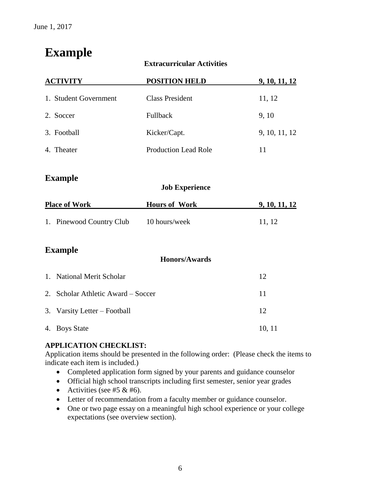# **Example**

#### **Extracurricular Activities**

| <b>ACTIVITY</b>       | <b>POSITION HELD</b>        | <u>9, 10, 11, 12</u> |
|-----------------------|-----------------------------|----------------------|
| 1. Student Government | <b>Class President</b>      | 11, 12               |
| 2. Soccer             | <b>Fullback</b>             | 9, 10                |
| 3. Football           | Kicker/Capt.                | 9, 10, 11, 12        |
| 4. Theater            | <b>Production Lead Role</b> | 11                   |
|                       |                             |                      |

### **Example**

**Job Experience**

**Honors/Awards**

| <b>Place of Work</b> |                          | <b>Hours of Work</b> | 9, 10, 11, 12 |  |
|----------------------|--------------------------|----------------------|---------------|--|
|                      | 1. Pinewood Country Club | 10 hours/week        | 11, 12        |  |

### **Example**

| 1. National Merit Scholar          | 12     |
|------------------------------------|--------|
| 2. Scholar Athletic Award – Soccer | 11     |
| 3. Varsity Letter – Football       | 12     |
| 4. Boys State                      | 10, 11 |

#### **APPLICATION CHECKLIST:**

Application items should be presented in the following order: (Please check the items to indicate each item is included.)

- Completed application form signed by your parents and guidance counselor
- Official high school transcripts including first semester, senior year grades
- Activities (see #5  $\&$  #6).
- Letter of recommendation from a faculty member or guidance counselor.
- One or two page essay on a meaningful high school experience or your college expectations (see overview section).